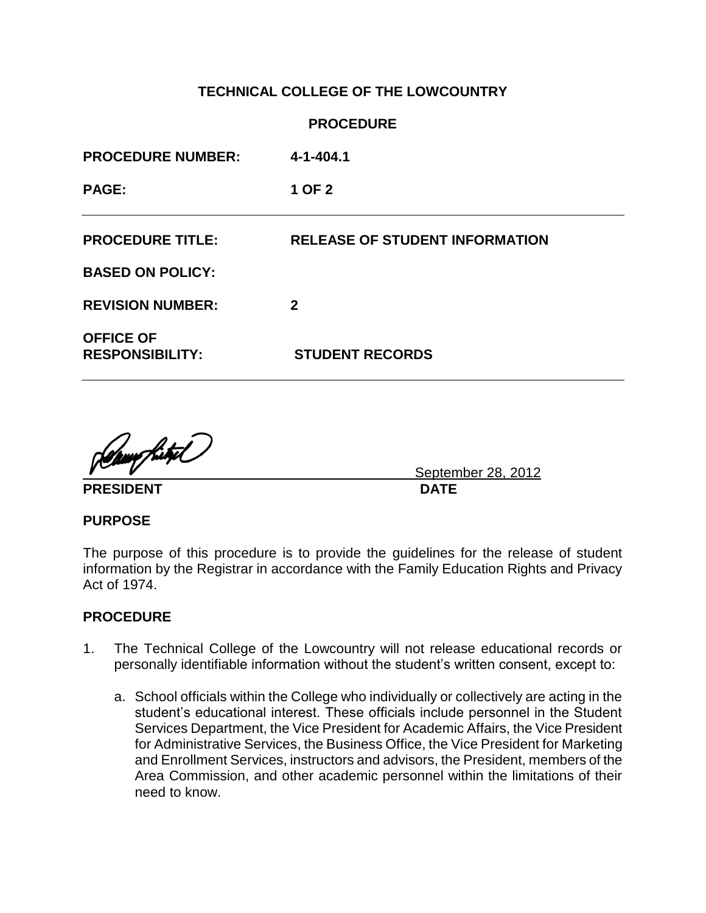# **TECHNICAL COLLEGE OF THE LOWCOUNTRY**

|                                            | <b>PROCEDURE</b>                      |
|--------------------------------------------|---------------------------------------|
| <b>PROCEDURE NUMBER:</b>                   | $4 - 1 - 404.1$                       |
| <b>PAGE:</b>                               | 1 OF 2                                |
| <b>PROCEDURE TITLE:</b>                    | <b>RELEASE OF STUDENT INFORMATION</b> |
| <b>BASED ON POLICY:</b>                    |                                       |
| <b>REVISION NUMBER:</b>                    | $\mathbf 2$                           |
| <b>OFFICE OF</b><br><b>RESPONSIBILITY:</b> | <b>STUDENT RECORDS</b>                |

<u>Gampfuty</u>l

PRESIDENT DATE

September 28, 2012

### **PURPOSE**

The purpose of this procedure is to provide the guidelines for the release of student information by the Registrar in accordance with the Family Education Rights and Privacy Act of 1974.

### **PROCEDURE**

- 1. The Technical College of the Lowcountry will not release educational records or personally identifiable information without the student's written consent, except to:
	- a. School officials within the College who individually or collectively are acting in the student's educational interest. These officials include personnel in the Student Services Department, the Vice President for Academic Affairs, the Vice President for Administrative Services, the Business Office, the Vice President for Marketing and Enrollment Services, instructors and advisors, the President, members of the Area Commission, and other academic personnel within the limitations of their need to know.